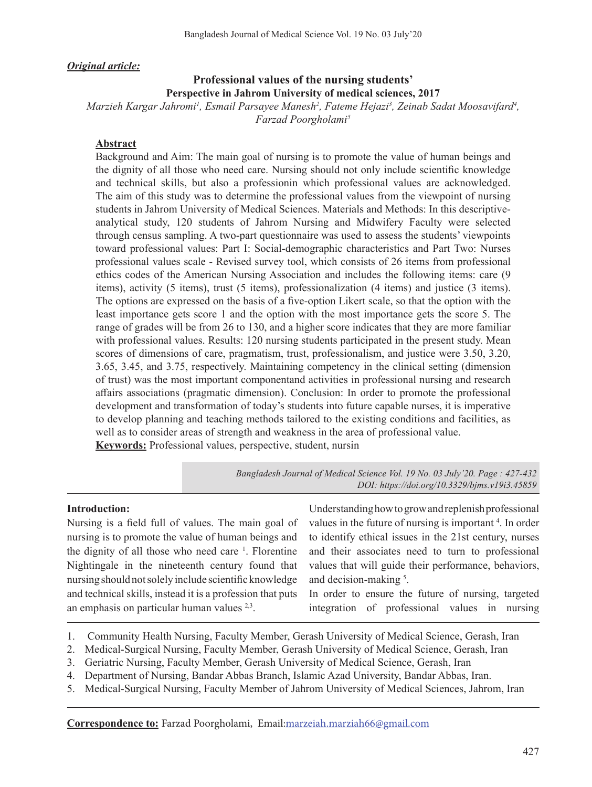*Original article:*

## **Professional values of the nursing students' Perspective in Jahrom University of medical sciences, 2017**

Marzieh Kargar Jahromi<sup>1</sup>, Esmail Parsayee Manesh<sup>2</sup>, Fateme Hejazi<sup>3</sup>, Zeinab Sadat Moosavifard<sup>4</sup>, *Farzad Poorgholami5*

## **Abstract**

Background and Aim: The main goal of nursing is to promote the value of human beings and the dignity of all those who need care. Nursing should not only include scientific knowledge and technical skills, but also a professionin which professional values are acknowledged. The aim of this study was to determine the professional values from the viewpoint of nursing students in Jahrom University of Medical Sciences. Materials and Methods: In this descriptiveanalytical study, 120 students of Jahrom Nursing and Midwifery Faculty were selected through census sampling. A two-part questionnaire was used to assess the students' viewpoints toward professional values: Part I: Social-demographic characteristics and Part Two: Nurses professional values scale - Revised survey tool, which consists of 26 items from professional ethics codes of the American Nursing Association and includes the following items: care (9 items), activity (5 items), trust (5 items), professionalization (4 items) and justice (3 items). The options are expressed on the basis of a five-option Likert scale, so that the option with the least importance gets score 1 and the option with the most importance gets the score 5. The range of grades will be from 26 to 130, and a higher score indicates that they are more familiar with professional values. Results: 120 nursing students participated in the present study. Mean scores of dimensions of care, pragmatism, trust, professionalism, and justice were 3.50, 3.20, 3.65, 3.45, and 3.75, respectively. Maintaining competency in the clinical setting (dimension of trust) was the most important componentand activities in professional nursing and research affairs associations (pragmatic dimension). Conclusion: In order to promote the professional development and transformation of today's students into future capable nurses, it is imperative to develop planning and teaching methods tailored to the existing conditions and facilities, as well as to consider areas of strength and weakness in the area of professional value. **Keywords:** Professional values, perspective, student, nursin

> *Bangladesh Journal of Medical Science Vol. 19 No. 03 July'20. Page : 427-432 DOI: https://doi.org/10.3329/bjms.v19i3.45859*

## **Introduction:**

Nursing is a field full of values. The main goal of nursing is to promote the value of human beings and the dignity of all those who need care <sup>1</sup>. Florentine Nightingale in the nineteenth century found that nursing should notsolely include scientific knowledge and technical skills, instead it is a profession that puts an emphasis on particular human values 2,3.

Understandinghowtogrowandreplenishprofessional values in the future of nursing is important<sup>4</sup>. In order to identify ethical issues in the 21st century, nurses and their associates need to turn to professional values that will guide their performance, behaviors, and decision-making<sup>5</sup>.

In order to ensure the future of nursing, targeted integration of professional values in nursing

- 1. Community Health Nursing, Faculty Member, Gerash University of Medical Science, Gerash, Iran
- 2. Medical-Surgical Nursing, Faculty Member, Gerash University of Medical Science, Gerash, Iran
- 3. Geriatric Nursing, Faculty Member, Gerash University of Medical Science, Gerash, Iran
- 4. Department of Nursing, Bandar Abbas Branch, Islamic Azad University, Bandar Abbas, Iran.
- 5. Medical-Surgical Nursing, Faculty Member of Jahrom University of Medical Sciences, Jahrom, Iran

**Correspondence to:** Farzad Poorgholami, Email:marzeiah.marziah66@gmail.com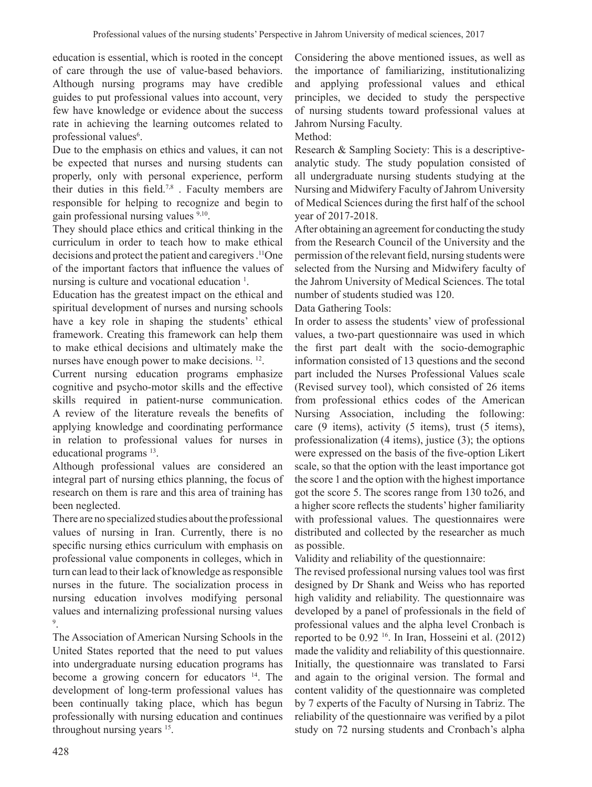education is essential, which is rooted in the concept of care through the use of value-based behaviors. Although nursing programs may have credible guides to put professional values into account, very few have knowledge or evidence about the success rate in achieving the learning outcomes related to professional values<sup>6</sup>.

Due to the emphasis on ethics and values, it can not be expected that nurses and nursing students can properly, only with personal experience, perform their duties in this field.<sup>7,8</sup>. Faculty members are responsible for helping to recognize and begin to gain professional nursing values 9,10.

They should place ethics and critical thinking in the curriculum in order to teach how to make ethical decisions and protect the patient and caregivers. 11One of the important factors that influence the values of nursing is culture and vocational education<sup>1</sup>.

Education has the greatest impact on the ethical and spiritual development of nurses and nursing schools have a key role in shaping the students' ethical framework. Creating this framework can help them to make ethical decisions and ultimately make the nurses have enough power to make decisions. 12.

Current nursing education programs emphasize cognitive and psycho-motor skills and the effective skills required in patient-nurse communication. A review of the literature reveals the benefits of applying knowledge and coordinating performance in relation to professional values for nurses in educational programs 13.

Although professional values are considered an integral part of nursing ethics planning, the focus of research on them is rare and this area of training has been neglected.

There are no specialized studies about the professional values of nursing in Iran. Currently, there is no specific nursing ethics curriculum with emphasis on professional value components in colleges, which in turn can lead to their lack of knowledge as responsible nurses in the future. The socialization process in nursing education involves modifying personal values and internalizing professional nursing values 9 .

The Association of American Nursing Schools in the United States reported that the need to put values into undergraduate nursing education programs has become a growing concern for educators <sup>14</sup>. The development of long-term professional values has been continually taking place, which has begun professionally with nursing education and continues throughout nursing years <sup>15</sup>.

Considering the above mentioned issues, as well as the importance of familiarizing, institutionalizing and applying professional values and ethical principles, we decided to study the perspective of nursing students toward professional values at Jahrom Nursing Faculty.

Method:

Research & Sampling Society: This is a descriptiveanalytic study. The study population consisted of all undergraduate nursing students studying at the Nursing and Midwifery Faculty of Jahrom University of Medical Sciences during the first half of the school year of 2017-2018.

After obtaining an agreement for conducting the study from the Research Council of the University and the permission of the relevant field, nursing students were selected from the Nursing and Midwifery faculty of the Jahrom University of Medical Sciences. The total number of students studied was 120.

#### Data Gathering Tools:

In order to assess the students' view of professional values, a two-part questionnaire was used in which the first part dealt with the socio-demographic information consisted of 13 questions and the second part included the Nurses Professional Values scale (Revised survey tool), which consisted of 26 items from professional ethics codes of the American Nursing Association, including the following: care (9 items), activity (5 items), trust (5 items), professionalization (4 items), justice (3); the options were expressed on the basis of the five-option Likert scale, so that the option with the least importance got the score 1 and the option with the highest importance got the score 5. The scores range from 130 to26, and a higher score reflects the students' higher familiarity with professional values. The questionnaires were distributed and collected by the researcher as much as possible.

Validity and reliability of the questionnaire:

The revised professional nursing values tool was first designed by Dr Shank and Weiss who has reported high validity and reliability. The questionnaire was developed by a panel of professionals in the field of professional values and the alpha level Cronbach is reported to be 0.92 16. In Iran, Hosseini et al. (2012) made the validity and reliability of this questionnaire. Initially, the questionnaire was translated to Farsi and again to the original version. The formal and content validity of the questionnaire was completed by 7 experts of the Faculty of Nursing in Tabriz. The reliability of the questionnaire was verified by a pilot study on 72 nursing students and Cronbach's alpha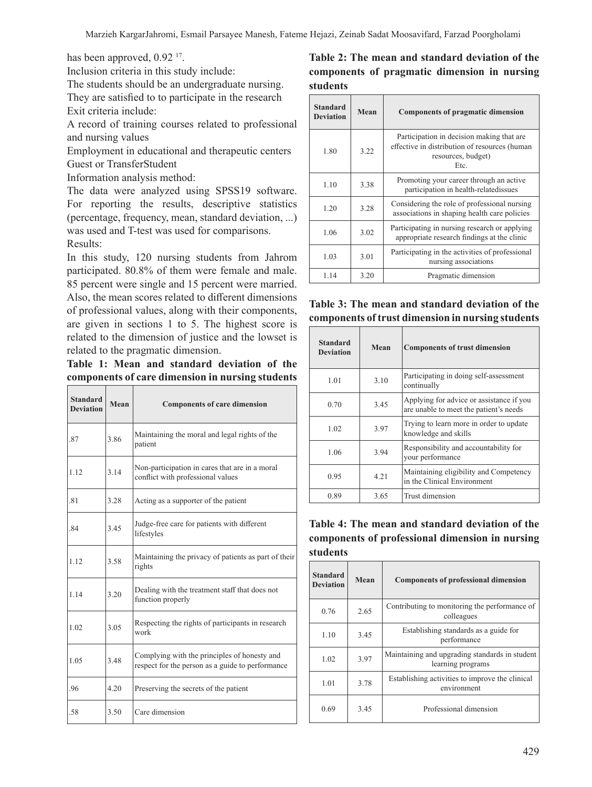has been approved, 0.92<sup>17</sup>.

Inclusion criteria in this study include:

The students should be an undergraduate nursing. They are satisfied to to participate in the research Exit criteria include:

A record of training courses related to professional and nursing values

Employment in educational and therapeutic centers Guest or TransferStudent

Information analysis method:

The data were analyzed using SPSS19 software. For reporting the results, descriptive statistics (percentage, frequency, mean, standard deviation, ...) was used and T-test was used for comparisons. Results:

In this study, 120 nursing students from Jahrom participated. 80.8% of them were female and male. 85 percent were single and 15 percent were married. Also, the mean scores related to different dimensions of professional values, along with their components, are given in sections 1 to 5. The highest score is related to the dimension of justice and the lowset is related to the pragmatic dimension.

**Table 1: Mean and standard deviation of the components of care dimension in nursing students**

| <b>Standard</b><br><b>Deviation</b> | Mean | <b>Components of care dimension</b>                                                              |  |
|-------------------------------------|------|--------------------------------------------------------------------------------------------------|--|
| .87                                 | 3.86 | Maintaining the moral and legal rights of the<br>patient                                         |  |
| 1.12                                | 3.14 | Non-participation in cares that are in a moral<br>conflict with professional values              |  |
| .81                                 | 3.28 | Acting as a supporter of the patient                                                             |  |
| .84                                 | 3.45 | Judge-free care for patients with different<br>lifestyles                                        |  |
| 1.12                                | 3.58 | Maintaining the privacy of patients as part of their<br>rights                                   |  |
| 1.14                                | 3.20 | Dealing with the treatment staff that does not<br>function properly                              |  |
| 1.02                                | 3.05 | Respecting the rights of participants in research<br>work                                        |  |
| 1.05                                | 3.48 | Complying with the principles of honesty and<br>respect for the person as a guide to performance |  |
| .96                                 | 4.20 | Preserving the secrets of the patient                                                            |  |
| .58                                 | 3.50 | Care dimension                                                                                   |  |

# **Table 2: The mean and standard deviation of the components of pragmatic dimension in nursing students**

| <b>Standard</b><br><b>Deviation</b> | Mean | <b>Components of pragmatic dimension</b>                                                                                 |
|-------------------------------------|------|--------------------------------------------------------------------------------------------------------------------------|
| 1.80                                | 3.22 | Participation in decision making that are<br>effective in distribution of resources (human<br>resources, budget)<br>Etc. |
| 1.10                                | 3.38 | Promoting your career through an active<br>participation in health-relatedissues                                         |
| 1.20                                | 3.28 | Considering the role of professional nursing<br>associations in shaping health care policies                             |
| 1.06                                | 3.02 | Participating in nursing research or applying<br>appropriate research findings at the clinic                             |
| 1.03                                | 3.01 | Participating in the activities of professional<br>nursing associations                                                  |
| 1.14                                | 3.20 | Pragmatic dimension                                                                                                      |

## **Table 3: The mean and standard deviation of the components of trust dimension in nursing students**

| <b>Standard</b><br><b>Deviation</b> | Mean | <b>Components of trust dimension</b>                                               |
|-------------------------------------|------|------------------------------------------------------------------------------------|
| 1.01                                | 3.10 | Participating in doing self-assessment<br>continually                              |
| 0.70                                | 3.45 | Applying for advice or assistance if you<br>are unable to meet the patient's needs |
| 1.02                                | 3.97 | Trying to learn more in order to update<br>knowledge and skills                    |
| 1.06                                | 3.94 | Responsibility and accountability for<br>your performance                          |
| 0.95                                | 4.21 | Maintaining eligibility and Competency<br>in the Clinical Environment              |
| 0.89                                | 3.65 | Trust dimension                                                                    |

## **Table 4: The mean and standard deviation of the components of professional dimension in nursing students**

| <b>Standard</b><br><b>Deviation</b> | Mean | <b>Components of professional dimension</b>                         |
|-------------------------------------|------|---------------------------------------------------------------------|
| 0.76                                | 2.65 | Contributing to monitoring the performance of<br>colleagues         |
| 1.10                                | 3.45 | Establishing standards as a guide for<br>performance                |
| 1.02                                | 3.97 | Maintaining and upgrading standards in student<br>learning programs |
| 1.01                                | 3.78 | Establishing activities to improve the clinical<br>environment      |
| 0.69                                | 3.45 | Professional dimension                                              |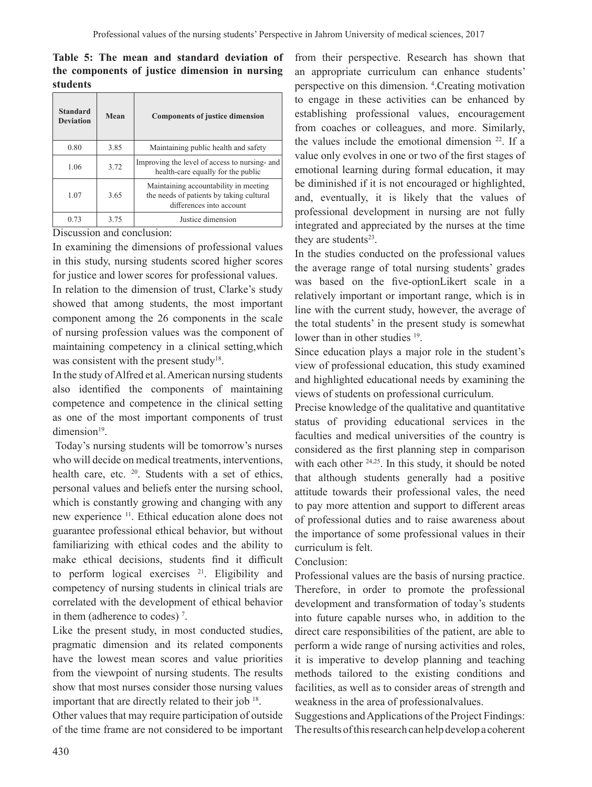## **Table 5: The mean and standard deviation of the components of justice dimension in nursing students**

| <b>Standard</b><br><b>Deviation</b> | Mean | <b>Components of justice dimension</b>                                                                        |
|-------------------------------------|------|---------------------------------------------------------------------------------------------------------------|
| 0.80                                | 3.85 | Maintaining public health and safety                                                                          |
| 1.06                                | 3.72 | Improving the level of access to nursing- and<br>health-care equally for the public                           |
| 1.07                                | 3.65 | Maintaining accountability in meeting<br>the needs of patients by taking cultural<br>differences into account |
| 0.73                                | 3.75 | Justice dimension                                                                                             |

Discussion and conclusion:

In examining the dimensions of professional values in this study, nursing students scored higher scores for justice and lower scores for professional values.

In relation to the dimension of trust, Clarke's study showed that among students, the most important component among the 26 components in the scale of nursing profession values was the component of maintaining competency in a clinical setting,which was consistent with the present study<sup>18</sup>.

In the study of Alfred et al. American nursing students also identified the components of maintaining competence and competence in the clinical setting as one of the most important components of trust dimension<sup>19</sup>.

Today's nursing students will be tomorrow's nurses who will decide on medical treatments, interventions, health care, etc. <sup>20</sup>. Students with a set of ethics, personal values and beliefs enter the nursing school, which is constantly growing and changing with any new experience 11. Ethical education alone does not guarantee professional ethical behavior, but without familiarizing with ethical codes and the ability to make ethical decisions, students find it difficult to perform logical exercises  $21$ . Eligibility and competency of nursing students in clinical trials are correlated with the development of ethical behavior in them (adherence to codes)<sup>7</sup>.

Like the present study, in most conducted studies, pragmatic dimension and its related components have the lowest mean scores and value priorities from the viewpoint of nursing students. The results show that most nurses consider those nursing values important that are directly related to their job <sup>18</sup>.

Other values that may require participation of outside of the time frame are not considered to be important

from their perspective. Research has shown that an appropriate curriculum can enhance students' perspective on this dimension. <sup>4</sup> .Creating motivation to engage in these activities can be enhanced by establishing professional values, encouragement from coaches or colleagues, and more. Similarly, the values include the emotional dimension  $22$ . If a value only evolves in one or two of the first stages of emotional learning during formal education, it may be diminished if it is not encouraged or highlighted, and, eventually, it is likely that the values of professional development in nursing are not fully integrated and appreciated by the nurses at the time they are students $23$ .

In the studies conducted on the professional values the average range of total nursing students' grades was based on the five-optionLikert scale in a relatively important or important range, which is in line with the current study, however, the average of the total students' in the present study is somewhat lower than in other studies <sup>19</sup>.

Since education plays a major role in the student's view of professional education, this study examined and highlighted educational needs by examining the views of students on professional curriculum.

Precise knowledge of the qualitative and quantitative status of providing educational services in the faculties and medical universities of the country is considered as the first planning step in comparison with each other <sup>24,25</sup>. In this study, it should be noted that although students generally had a positive attitude towards their professional vales, the need to pay more attention and support to different areas of professional duties and to raise awareness about the importance of some professional values in their curriculum is felt.

## Conclusion:

Professional values are the basis of nursing practice. Therefore, in order to promote the professional development and transformation of today's students into future capable nurses who, in addition to the direct care responsibilities of the patient, are able to perform a wide range of nursing activities and roles, it is imperative to develop planning and teaching methods tailored to the existing conditions and facilities, as well as to consider areas of strength and weakness in the area of professionalvalues.

Suggestions andApplications of the Project Findings: The results of this research can help develop a coherent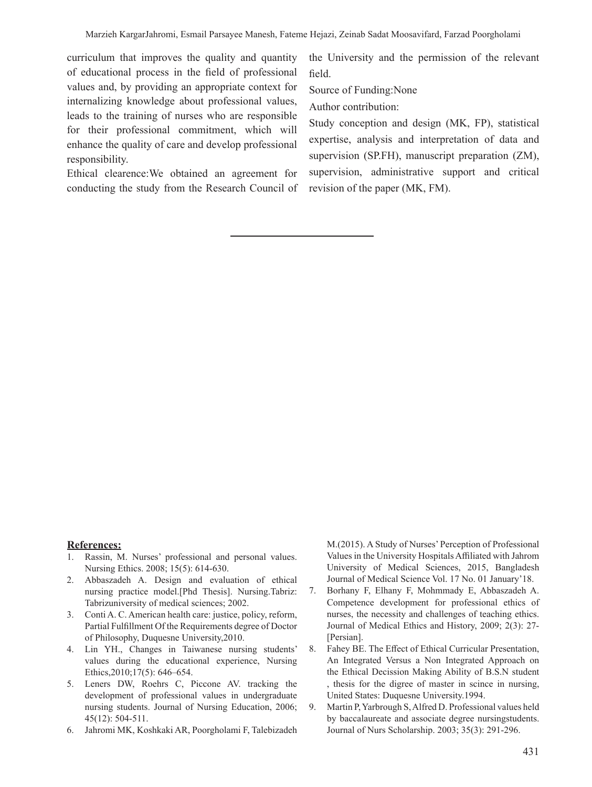curriculum that improves the quality and quantity of educational process in the field of professional values and, by providing an appropriate context for internalizing knowledge about professional values, leads to the training of nurses who are responsible for their professional commitment, which will enhance the quality of care and develop professional responsibility.

Ethical clearence:We obtained an agreement for conducting the study from the Research Council of

the University and the permission of the relevant field.

Source of Funding:None

Author contribution:

Study conception and design (MK, FP), statistical expertise, analysis and interpretation of data and supervision (SP.FH), manuscript preparation (ZM), supervision, administrative support and critical revision of the paper (MK, FM).

#### **References:**

- 1. Rassin, M. Nurses' professional and personal values. Nursing Ethics. 2008; 15(5): 614-630.
- 2. Abbaszadeh A. Design and evaluation of ethical nursing practice model.[Phd Thesis]. Nursing.Tabriz: Tabrizuniversity of medical sciences; 2002.
- 3. Conti A. C. American health care: justice, policy, reform, Partial Fulfillment Of the Requirements degree of Doctor of Philosophy, Duquesne University,2010.
- 4. Lin YH., Changes in Taiwanese nursing students' values during the educational experience, Nursing Ethics,2010;17(5): 646–654.
- 5. Leners DW, Roehrs C, Piccone AV. tracking the development of professional values in undergraduate nursing students. Journal of Nursing Education, 2006; 45(12): 504-511.
- 6. Jahromi MK, Koshkaki AR, Poorgholami F, Talebizadeh

M.(2015). A Study of Nurses' Perception of Professional Values in the University HospitalsAffiliated with Jahrom University of Medical Sciences, 2015, Bangladesh Journal of Medical Science Vol. 17 No. 01 January'18.

- 7. Borhany F, Elhany F, Mohmmady E, Abbaszadeh A. Competence development for professional ethics of nurses, the necessity and challenges of teaching ethics. Journal of Medical Ethics and History, 2009; 2(3): 27- [Persian].
- 8. Fahey BE. The Effect of Ethical Curricular Presentation, An Integrated Versus a Non Integrated Approach on the Ethical Decission Making Ability of B.S.N student , thesis for the digree of master in scince in nursing, United States: Duquesne University.1994.
- 9. Martin P,Yarbrough S,Alfred D. Professional values held by baccalaureate and associate degree nursingstudents. Journal of Nurs Scholarship. 2003; 35(3): 291-296.